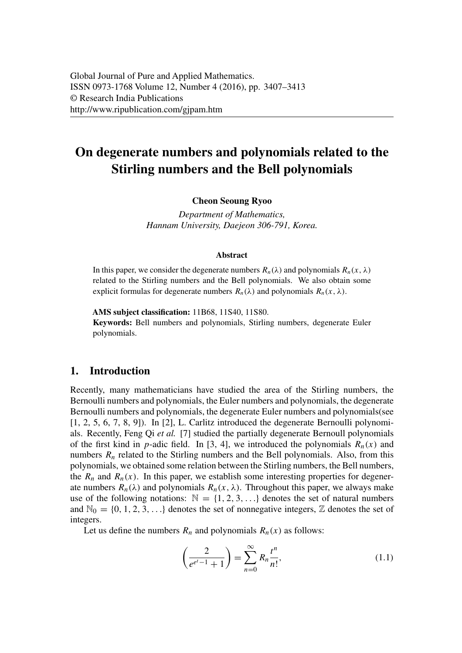# **On degenerate numbers and polynomials related to the Stirling numbers and the Bell polynomials**

#### **Cheon Seoung Ryoo**

*Department of Mathematics, Hannam University, Daejeon 306-791, Korea.*

#### **Abstract**

In this paper, we consider the degenerate numbers  $R_n(\lambda)$  and polynomials  $R_n(x, \lambda)$ related to the Stirling numbers and the Bell polynomials. We also obtain some explicit formulas for degenerate numbers  $R_n(\lambda)$  and polynomials  $R_n(x, \lambda)$ .

**AMS subject classification:** 11B68, 11S40, 11S80. **Keywords:** Bell numbers and polynomials, Stirling numbers, degenerate Euler polynomials.

#### **1. Introduction**

Recently, many mathematicians have studied the area of the Stirling numbers, the Bernoulli numbers and polynomials, the Euler numbers and polynomials, the degenerate Bernoulli numbers and polynomials, the degenerate Euler numbers and polynomials(see [1, 2, 5, 6, 7, 8, 9]). In [2], L. Carlitz introduced the degenerate Bernoulli polynomials. Recently, Feng Qi *et al.* [7] studied the partially degenerate Bernoull polynomials of the first kind in *p*-adic field. In [3, 4], we introduced the polynomials  $R_n(x)$  and numbers  $R_n$  related to the Stirling numbers and the Bell polynomials. Also, from this polynomials, we obtained some relation between the Stirling numbers, the Bell numbers, the  $R_n$  and  $R_n(x)$ . In this paper, we establish some interesting properties for degenerate numbers  $R_n(\lambda)$  and polynomials  $R_n(x, \lambda)$ . Throughout this paper, we always make use of the following notations:  $\mathbb{N} = \{1, 2, 3, \ldots\}$  denotes the set of natural numbers and  $\mathbb{N}_0 = \{0, 1, 2, 3, \ldots\}$  denotes the set of nonnegative integers,  $\mathbb Z$  denotes the set of integers.

Let us define the numbers  $R_n$  and polynomials  $R_n(x)$  as follows:

$$
\left(\frac{2}{e^{e^t - 1} + 1}\right) = \sum_{n=0}^{\infty} R_n \frac{t^n}{n!},\tag{1.1}
$$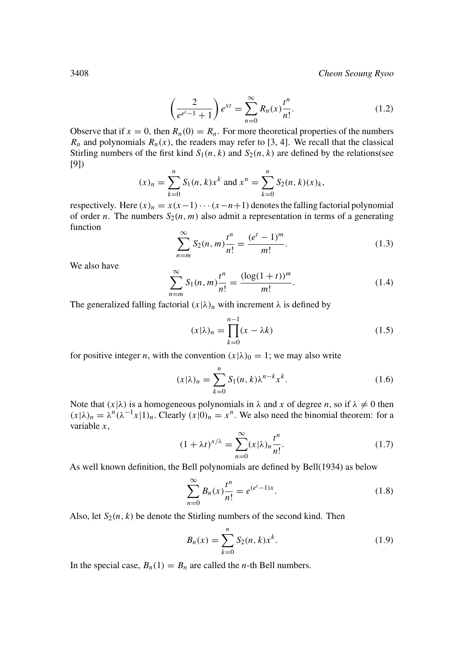3408 *Cheon Seoung Ryoo*

$$
\left(\frac{2}{e^{e^t - 1} + 1}\right) e^{xt} = \sum_{n=0}^{\infty} R_n(x) \frac{t^n}{n!}.
$$
 (1.2)

Observe that if  $x = 0$ , then  $R_n(0) = R_n$ . For more theoretical properties of the numbers  $R_n$  and polynomials  $R_n(x)$ , the readers may refer to [3, 4]. We recall that the classical Stirling numbers of the first kind  $S_1(n, k)$  and  $S_2(n, k)$  are defined by the relations(see [9])

$$
(x)_n = \sum_{k=0}^n S_1(n, k) x^k
$$
 and  $x^n = \sum_{k=0}^n S_2(n, k) (x)_k$ ,

respectively. Here  $(x)_n = x(x-1) \cdots (x-n+1)$  denotes the falling factorial polynomial of order *n*. The numbers  $S_2(n, m)$  also admit a representation in terms of a generating function

$$
\sum_{n=m}^{\infty} S_2(n,m) \frac{t^n}{n!} = \frac{(e^t - 1)^m}{m!}.
$$
 (1.3)

We also have

$$
\sum_{n=m}^{\infty} S_1(n,m) \frac{t^n}{n!} = \frac{(\log(1+t))^m}{m!}.
$$
 (1.4)

The generalized falling factorial  $(x|\lambda)_n$  with increment  $\lambda$  is defined by

$$
(x|\lambda)_n = \prod_{k=0}^{n-1} (x - \lambda k)
$$
\n(1.5)

for positive integer *n*, with the convention  $(x|\lambda)_0 = 1$ ; we may also write

$$
(x|\lambda)_n = \sum_{k=0}^n S_1(n,k)\lambda^{n-k} x^k.
$$
 (1.6)

Note that  $(x|\lambda)$  is a homogeneous polynomials in  $\lambda$  and  $x$  of degree  $n$ , so if  $\lambda \neq 0$  then  $(x|\lambda)_n = \lambda^n (\lambda^{-1}x|1)_n$ . Clearly  $(x|0)_n = x^n$ . We also need the binomial theorem: for a variable *x*,

$$
(1 + \lambda t)^{x/\lambda} = \sum_{n=0}^{\infty} (x|\lambda)_n \frac{t^n}{n!}.
$$
 (1.7)

As well known definition, the Bell polynomials are defined by Bell(1934) as below

$$
\sum_{n=0}^{\infty} B_n(x) \frac{t^n}{n!} = e^{(e^t - 1)x}.
$$
\n(1.8)

Also, let  $S_2(n, k)$  be denote the Stirling numbers of the second kind. Then

$$
B_n(x) = \sum_{k=0}^n S_2(n, k) x^k.
$$
 (1.9)

In the special case,  $B_n(1) = B_n$  are called the *n*-th Bell numbers.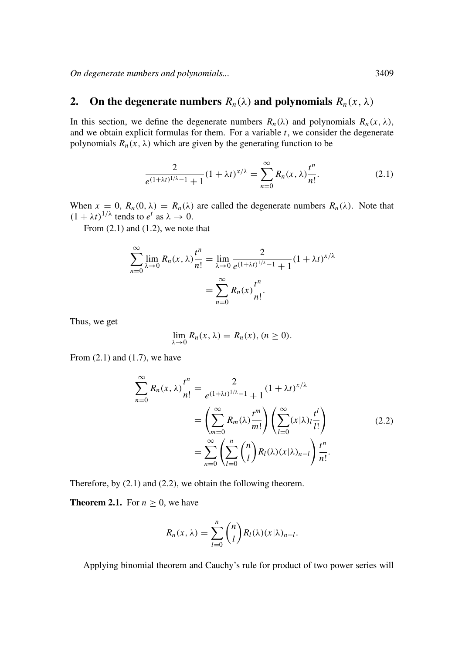*On degenerate numbers and polynomials...* 3409

## **2.** On the degenerate numbers  $R_n(\lambda)$  and polynomials  $R_n(x, \lambda)$

In this section, we define the degenerate numbers  $R_n(\lambda)$  and polynomials  $R_n(x, \lambda)$ , and we obtain explicit formulas for them. For a variable *t*, we consider the degenerate polynomials  $R_n(x, \lambda)$  which are given by the generating function to be

$$
\frac{2}{e^{(1+\lambda t)^{1/\lambda}-1}+1}(1+\lambda t)^{x/\lambda} = \sum_{n=0}^{\infty} R_n(x,\lambda) \frac{t^n}{n!}.
$$
 (2.1)

When  $x = 0$ ,  $R_n(0, \lambda) = R_n(\lambda)$  are called the degenerate numbers  $R_n(\lambda)$ . Note that  $(1 + \lambda t)^{1/\lambda}$  tends to  $e^t$  as  $\lambda \to 0$ .

From  $(2.1)$  and  $(1.2)$ , we note that

$$
\sum_{n=0}^{\infty} \lim_{\lambda \to 0} R_n(x, \lambda) \frac{t^n}{n!} = \lim_{\lambda \to 0} \frac{2}{e^{(1 + \lambda t)^{1/\lambda} - 1} + 1} (1 + \lambda t)^{x/\lambda}
$$

$$
= \sum_{n=0}^{\infty} R_n(x) \frac{t^n}{n!}.
$$

Thus, we get

$$
\lim_{\lambda \to 0} R_n(x, \lambda) = R_n(x), (n \ge 0).
$$

From  $(2.1)$  and  $(1.7)$ , we have

$$
\sum_{n=0}^{\infty} R_n(x, \lambda) \frac{t^n}{n!} = \frac{2}{e^{(1+\lambda t)^{1/\lambda}-1} + 1} (1+\lambda t)^{x/\lambda}
$$

$$
= \left(\sum_{m=0}^{\infty} R_m(\lambda) \frac{t^m}{m!} \right) \left(\sum_{l=0}^{\infty} (x|\lambda)_l \frac{t^l}{l!} \right)
$$

$$
= \sum_{n=0}^{\infty} \left(\sum_{l=0}^n {n \choose l} R_l(\lambda) (x|\lambda)_{n-l} \right) \frac{t^n}{n!}.
$$
(2.2)

Therefore, by (2.1) and (2.2), we obtain the following theorem.

**Theorem 2.1.** For  $n \geq 0$ , we have

$$
R_n(x,\lambda)=\sum_{l=0}^n \binom{n}{l} R_l(\lambda)(x|\lambda)_{n-l}.
$$

Applying binomial theorem and Cauchy's rule for product of two power series will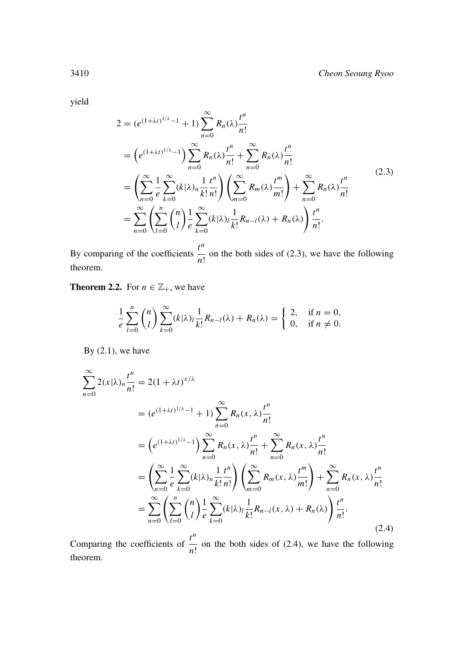yield

$$
2 = (e^{(1+\lambda t)^{1/\lambda}-1} + 1) \sum_{n=0}^{\infty} R_n(\lambda) \frac{t^n}{n!}
$$
  
\n
$$
= (e^{(1+\lambda t)^{1/\lambda}-1}) \sum_{n=0}^{\infty} R_n(\lambda) \frac{t^n}{n!} + \sum_{n=0}^{\infty} R_n(\lambda) \frac{t^n}{n!}
$$
  
\n
$$
= \left(\sum_{n=0}^{\infty} \frac{1}{e} \sum_{k=0}^{\infty} (k|\lambda)_n \frac{1}{k!} \frac{t^n}{n!} \right) \left(\sum_{m=0}^{\infty} R_m(\lambda) \frac{t^m}{m!} \right) + \sum_{n=0}^{\infty} R_n(\lambda) \frac{t^n}{n!}
$$
  
\n
$$
= \sum_{n=0}^{\infty} \left(\sum_{l=0}^n {n \choose l} \frac{1}{e} \sum_{k=0}^{\infty} (k|\lambda)_l \frac{1}{k!} R_{n-l}(\lambda) + R_n(\lambda) \right) \frac{t^n}{n!}.
$$
  
\n(2.3)

By comparing of the coefficients *tn*  $\frac{1}{n!}$  on the both sides of (2.3), we have the following theorem.

**Theorem 2.2.** For  $n \in \mathbb{Z}_+$ , we have

$$
\frac{1}{e}\sum_{l=0}^n \binom{n}{l} \sum_{k=0}^\infty (k|\lambda)_l \frac{1}{k!} R_{n-l}(\lambda) + R_n(\lambda) = \begin{cases} 2, & \text{if } n = 0, \\ 0, & \text{if } n \neq 0. \end{cases}
$$

By  $(2.1)$ , we have

$$
\sum_{n=0}^{\infty} 2(x|\lambda)_n \frac{t^n}{n!} = 2(1+\lambda t)^{x/\lambda}
$$
  
\n
$$
= (e^{(1+\lambda t)^{1/\lambda}-1} + 1) \sum_{n=0}^{\infty} R_n(x,\lambda) \frac{t^n}{n!}
$$
  
\n
$$
= (e^{(1+\lambda t)^{1/\lambda}-1}) \sum_{n=0}^{\infty} R_n(x,\lambda) \frac{t^n}{n!} + \sum_{n=0}^{\infty} R_n(x,\lambda) \frac{t^n}{n!}
$$
  
\n
$$
= \left(\sum_{n=0}^{\infty} \frac{1}{e} \sum_{k=0}^{\infty} (k|\lambda)_n \frac{1}{k!} \frac{t^n}{n!} \right) \left(\sum_{m=0}^{\infty} R_m(x,\lambda) \frac{t^m}{m!} \right) + \sum_{n=0}^{\infty} R_n(x,\lambda) \frac{t^n}{n!}
$$
  
\n
$$
= \sum_{n=0}^{\infty} \left(\sum_{l=0}^n {n \choose l} \frac{1}{e} \sum_{k=0}^{\infty} (k|\lambda)_l \frac{1}{k!} R_{n-l}(x,\lambda) + R_n(\lambda) \right) \frac{t^n}{n!}.
$$
\n(2.4)

Comparing the coefficients of *tn*  $\frac{1}{n!}$  on the both sides of (2.4), we have the following theorem.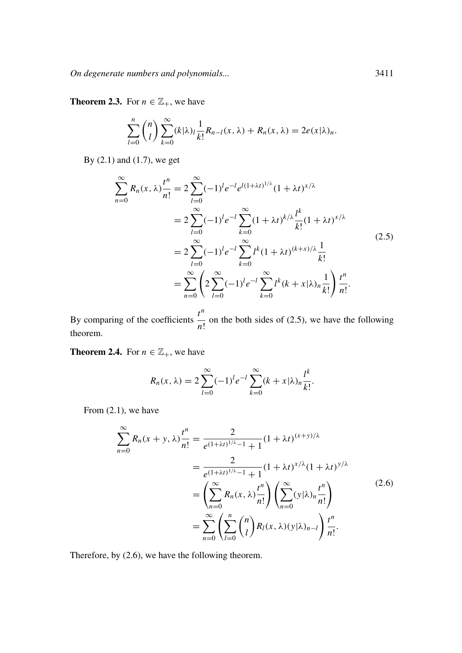*On degenerate numbers and polynomials...* 3411

**Theorem 2.3.** For  $n \in \mathbb{Z}_+$ , we have

$$
\sum_{l=0}^n \binom{n}{l} \sum_{k=0}^\infty (k|\lambda)_l \frac{1}{k!} R_{n-l}(x,\lambda) + R_n(x,\lambda) = 2e(x|\lambda)_n.
$$

By (2.1) and (1.7), we get

$$
\sum_{n=0}^{\infty} R_n(x, \lambda) \frac{t^n}{n!} = 2 \sum_{l=0}^{\infty} (-1)^l e^{-l} e^{l(1+\lambda t)^{1/\lambda}} (1+\lambda t)^{x/\lambda}
$$
  
=  $2 \sum_{l=0}^{\infty} (-1)^l e^{-l} \sum_{k=0}^{\infty} (1+\lambda t)^{k/\lambda} \frac{l^k}{k!} (1+\lambda t)^{x/\lambda}$   
=  $2 \sum_{l=0}^{\infty} (-1)^l e^{-l} \sum_{k=0}^{\infty} l^k (1+\lambda t)^{(k+x)/\lambda} \frac{1}{k!}$   
=  $\sum_{n=0}^{\infty} \left( 2 \sum_{l=0}^{\infty} (-1)^l e^{-l} \sum_{k=0}^{\infty} l^k (k+x|\lambda)_n \frac{1}{k!} \right) \frac{t^n}{n!}.$  (2.5)

By comparing of the coefficients *tn*  $\frac{1}{n!}$  on the both sides of (2.5), we have the following theorem.

**Theorem 2.4.** For  $n \in \mathbb{Z}_+$ , we have

$$
R_n(x, \lambda) = 2 \sum_{l=0}^{\infty} (-1)^l e^{-l} \sum_{k=0}^{\infty} (k + x | \lambda)_n \frac{l^k}{k!}.
$$

From (2.1), we have

$$
\sum_{n=0}^{\infty} R_n(x + y, \lambda) \frac{t^n}{n!} = \frac{2}{e^{(1 + \lambda t)^{1/\lambda} - 1} + 1} (1 + \lambda t)^{(x + y)/\lambda}
$$
  
= 
$$
\frac{2}{e^{(1 + \lambda t)^{1/\lambda} - 1} + 1} (1 + \lambda t)^{x/\lambda} (1 + \lambda t)^{y/\lambda}
$$
  
= 
$$
\left( \sum_{n=0}^{\infty} R_n(x, \lambda) \frac{t^n}{n!} \right) \left( \sum_{n=0}^{\infty} (y | \lambda)_n \frac{t^n}{n!} \right)
$$
  
= 
$$
\sum_{n=0}^{\infty} \left( \sum_{l=0}^n {n \choose l} R_l(x, \lambda) (y | \lambda)_{n-l} \right) \frac{t^n}{n!}.
$$
 (2.6)

Therefore, by (2.6), we have the following theorem.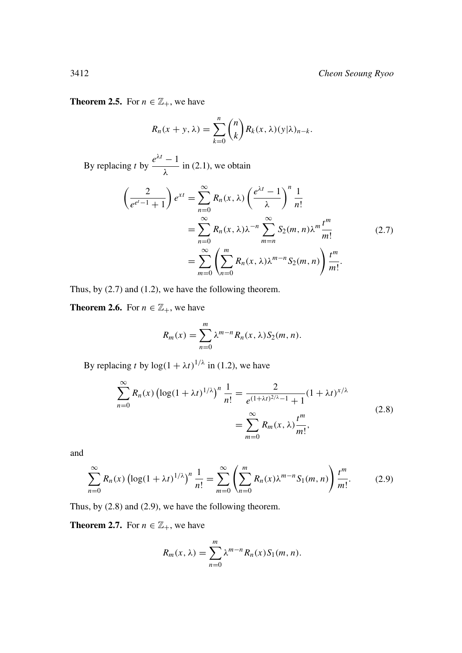## **Theorem 2.5.** For  $n \in \mathbb{Z}_+$ , we have

$$
R_n(x + y, \lambda) = \sum_{k=0}^n {n \choose k} R_k(x, \lambda) (y | \lambda)_{n-k}.
$$

By replacing *t* by  $e^{\lambda t} - 1$  $\frac{1}{\lambda}$  in (2.1), we obtain

$$
\left(\frac{2}{e^{e^t-1}+1}\right)e^{xt} = \sum_{n=0}^{\infty} R_n(x,\lambda) \left(\frac{e^{\lambda t}-1}{\lambda}\right)^n \frac{1}{n!}
$$

$$
= \sum_{n=0}^{\infty} R_n(x,\lambda)\lambda^{-n} \sum_{m=n}^{\infty} S_2(m,n)\lambda^m \frac{t^m}{m!}
$$

$$
= \sum_{m=0}^{\infty} \left(\sum_{n=0}^m R_n(x,\lambda)\lambda^{m-n} S_2(m,n)\right) \frac{t^m}{m!}.
$$
 (2.7)

Thus, by (2.7) and (1.2), we have the following theorem.

**Theorem 2.6.** For  $n \in \mathbb{Z}_+$ , we have

$$
R_m(x) = \sum_{n=0}^m \lambda^{m-n} R_n(x, \lambda) S_2(m, n).
$$

By replacing *t* by  $\log(1 + \lambda t)^{1/\lambda}$  in (1.2), we have

$$
\sum_{n=0}^{\infty} R_n(x) \left( \log(1 + \lambda t)^{1/\lambda} \right)^n \frac{1}{n!} = \frac{2}{e^{(1 + \lambda t)^{2/\lambda} - 1} + 1} (1 + \lambda t)^{x/\lambda}
$$
  
= 
$$
\sum_{m=0}^{\infty} R_m(x, \lambda) \frac{t^m}{m!},
$$
 (2.8)

and

$$
\sum_{n=0}^{\infty} R_n(x) \left( \log(1 + \lambda t)^{1/\lambda} \right)^n \frac{1}{n!} = \sum_{m=0}^{\infty} \left( \sum_{n=0}^m R_n(x) \lambda^{m-n} S_1(m, n) \right) \frac{t^m}{m!}.
$$
 (2.9)

Thus, by (2.8) and (2.9), we have the following theorem.

**Theorem 2.7.** For  $n \in \mathbb{Z}_+$ , we have

$$
R_m(x,\lambda) = \sum_{n=0}^m \lambda^{m-n} R_n(x) S_1(m,n).
$$